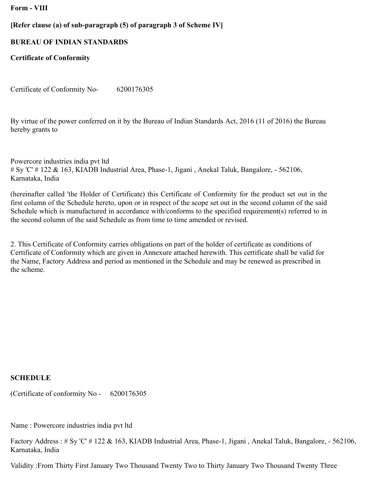#### **Form - VIII**

# **[Refer clause (a) of sub-paragraph (5) of paragraph 3 of Scheme IV]**

## **BUREAU OF INDIAN STANDARDS**

## **Certificate of Conformity**

Certificate of Conformity No- 6200176305

By virtue of the power conferred on it by the Bureau of Indian Standards Act, 2016 (11 of 2016) the Bureau hereby grants to

Powercore industries india pvt ltd # Sy 'C' # 122 & 163, KIADB Industrial Area, Phase-1, Jigani , Anekal Taluk, Bangalore, - 562106, Karnataka, India

(hereinafter called 'the Holder of Certificate) this Certificate of Conformity for the product set out in the first column of the Schedule hereto, upon or in respect of the scope set out in the second column of the said Schedule which is manufactured in accordance with/conforms to the specified requirement(s) referred to in the second column of the said Schedule as from time to time amended or revised.

2. This Certificate of Conformity carries obligations on part of the holder of certificate as conditions of Certificate of Conformity which are given in Annexure attached herewith. This certificate shall be valid for the Name, Factory Address and period as mentioned in the Schedule and may be renewed as prescribed in the scheme.

### **SCHEDULE**

(Certificate of conformity No - 6200176305

Name : Powercore industries india pvt ltd

Factory Address : # Sy 'C' # 122 & 163, KIADB Industrial Area, Phase-1, Jigani, Anekal Taluk, Bangalore, - 562106, Karnataka, India

Validity :From Thirty First January Two Thousand Twenty Two to Thirty January Two Thousand Twenty Three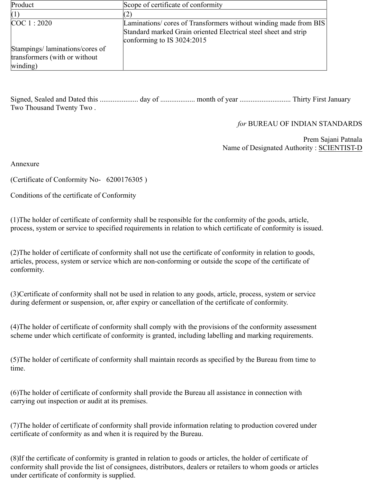| Product                             | Scope of certificate of conformity                               |
|-------------------------------------|------------------------------------------------------------------|
|                                     |                                                                  |
| $COC$ 1 : 2020                      | Laminations/ cores of Transformers without winding made from BIS |
|                                     | Standard marked Grain oriented Electrical steel sheet and strip  |
|                                     | conforming to IS $3024:2015$                                     |
| Stampings/laminations/cores of      |                                                                  |
| transformers (with or without)      |                                                                  |
| $\left \text{winding}\right\rangle$ |                                                                  |

Signed, Sealed and Dated this ..................... day of ................... month of year ............................ Thirty First January Two Thousand Twenty Two .

*for* BUREAU OF INDIAN STANDARDS

Prem Sajani Patnala Name of Designated Authority : SCIENTIST-D

Annexure

(Certificate of Conformity No- 6200176305 )

Conditions of the certificate of Conformity

(1)The holder of certificate of conformity shall be responsible for the conformity of the goods, article, process, system or service to specified requirements in relation to which certificate of conformity is issued.

(2)The holder of certificate of conformity shall not use the certificate of conformity in relation to goods, articles, process, system or service which are non-conforming or outside the scope of the certificate of conformity.

(3)Certificate of conformity shall not be used in relation to any goods, article, process, system or service during deferment or suspension, or, after expiry or cancellation of the certificate of conformity.

(4)The holder of certificate of conformity shall comply with the provisions of the conformity assessment scheme under which certificate of conformity is granted, including labelling and marking requirements.

(5)The holder of certificate of conformity shall maintain records as specified by the Bureau from time to time.

(6)The holder of certificate of conformity shall provide the Bureau all assistance in connection with carrying out inspection or audit at its premises.

(7)The holder of certificate of conformity shall provide information relating to production covered under certificate of conformity as and when it is required by the Bureau.

(8)If the certificate of conformity is granted in relation to goods or articles, the holder of certificate of conformity shall provide the list of consignees, distributors, dealers or retailers to whom goods or articles under certificate of conformity is supplied.